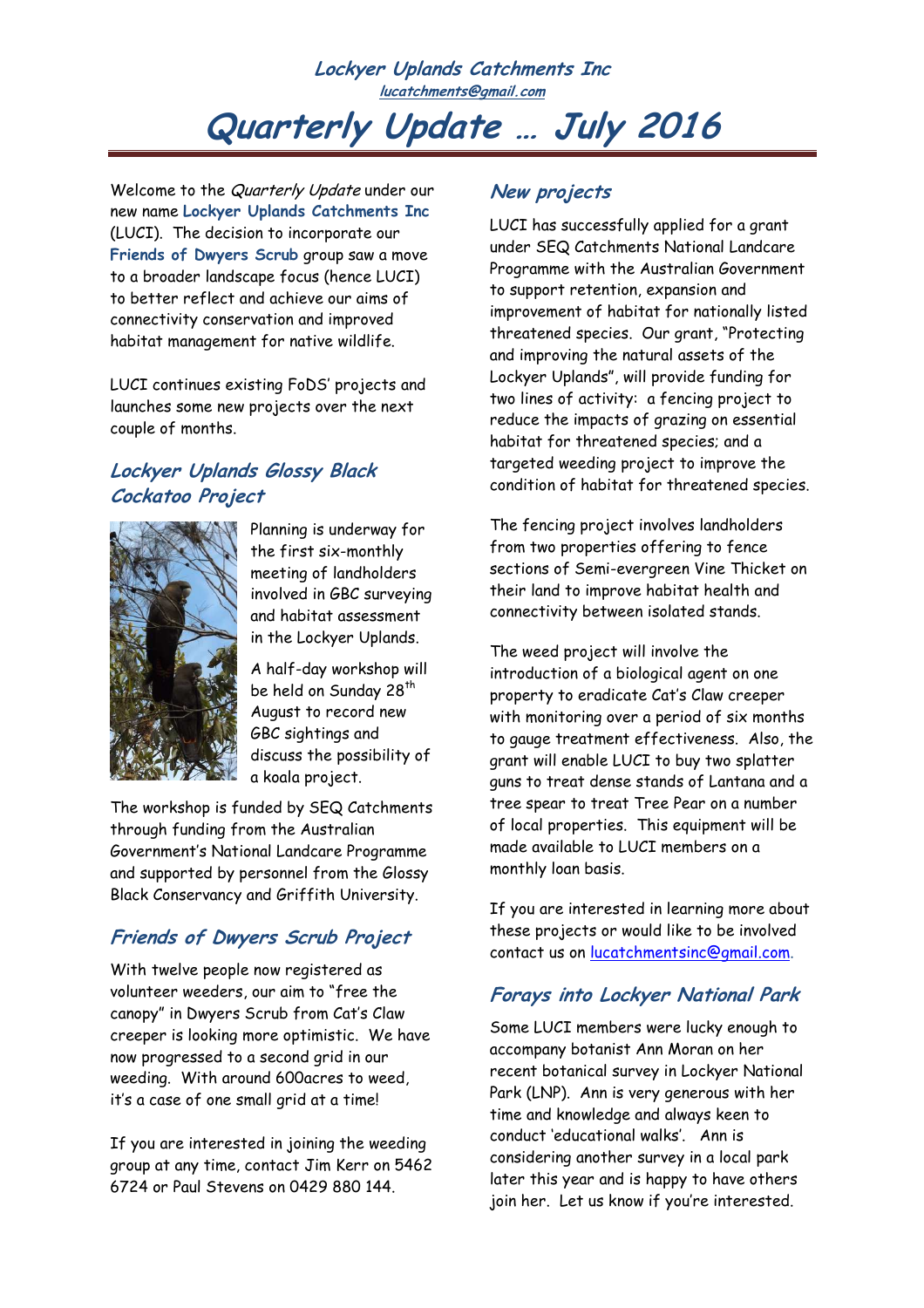**Lockyer Uplands Catchments Inc lucatchments@gmail.com** 

# **Quarterly Update … July 2016**

Welcome to the Quarterly Update under our new name **Lockyer Uplands Catchments Inc** (LUCI). The decision to incorporate our **Friends of Dwyers Scrub** group saw a move to a broader landscape focus (hence LUCI) to better reflect and achieve our aims of connectivity conservation and improved habitat management for native wildlife.

LUCI continues existing FoDS' projects and launches some new projects over the next couple of months.

#### **Lockyer Uplands Glossy Black Cockatoo Project**



Planning is underway for the first six-monthly meeting of landholders involved in GBC surveying and habitat assessment in the Lockyer Uplands.

A half-day workshop will be held on Sunday 28<sup>th</sup> August to record new GBC sightings and discuss the possibility of a koala project.

The workshop is funded by SEQ Catchments through funding from the Australian Government's National Landcare Programme and supported by personnel from the Glossy Black Conservancy and Griffith University.

## **Friends of Dwyers Scrub Project**

With twelve people now registered as volunteer weeders, our aim to "free the canopy" in Dwyers Scrub from Cat's Claw creeper is looking more optimistic. We have now progressed to a second grid in our weeding. With around 600acres to weed, it's a case of one small grid at a time!

If you are interested in joining the weeding group at any time, contact Jim Kerr on 5462 6724 or Paul Stevens on 0429 880 144.

### **New projects**

LUCI has successfully applied for a grant under SEQ Catchments National Landcare Programme with the Australian Government to support retention, expansion and improvement of habitat for nationally listed threatened species. Our grant, "Protecting and improving the natural assets of the Lockyer Uplands", will provide funding for two lines of activity: a fencing project to reduce the impacts of grazing on essential habitat for threatened species; and a targeted weeding project to improve the condition of habitat for threatened species.

The fencing project involves landholders from two properties offering to fence sections of Semi-evergreen Vine Thicket on their land to improve habitat health and connectivity between isolated stands.

The weed project will involve the introduction of a biological agent on one property to eradicate Cat's Claw creeper with monitoring over a period of six months to gauge treatment effectiveness. Also, the grant will enable LUCI to buy two splatter guns to treat dense stands of Lantana and a tree spear to treat Tree Pear on a number of local properties. This equipment will be made available to LUCI members on a monthly loan basis.

If you are interested in learning more about these projects or would like to be involved contact us on lucatchmentsinc@gmail.com.

### **Forays into Lockyer National Park**

Some LUCI members were lucky enough to accompany botanist Ann Moran on her recent botanical survey in Lockyer National Park (LNP). Ann is very generous with her time and knowledge and always keen to conduct 'educational walks'. Ann is considering another survey in a local park later this year and is happy to have others join her. Let us know if you're interested.